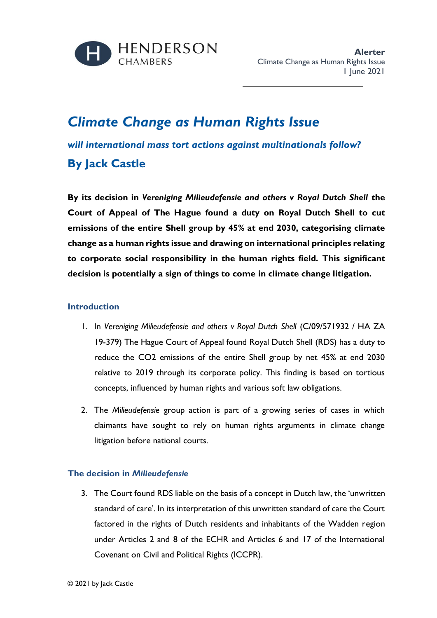

## *Climate Change as Human Rights Issue*

*will international mass tort actions against multinationals follow?* **By Jack Castle**

**By its decision in** *Vereniging Milieudefensie and others v Royal Dutch Shell* **the Court of Appeal of The Hague found a duty on Royal Dutch Shell to cut emissions of the entire Shell group by 45% at end 2030, categorising climate change as a human rights issue and drawing on international principles relating to corporate social responsibility in the human rights field. This significant decision is potentially a sign of things to come in climate change litigation.**

## **Introduction**

- 1. In *Vereniging Milieudefensie and others v Royal Dutch Shell* (C/09/571932 / HA ZA 19-379) The Hague Court of Appeal found Royal Dutch Shell (RDS) has a duty to reduce the CO2 emissions of the entire Shell group by net 45% at end 2030 relative to 2019 through its corporate policy. This finding is based on tortious concepts, influenced by human rights and various soft law obligations.
- 2. The *Milieudefensie* group action is part of a growing series of cases in which claimants have sought to rely on human rights arguments in climate change litigation before national courts.

## **The decision in** *Milieudefensie*

3. The Court found RDS liable on the basis of a concept in Dutch law, the 'unwritten standard of care'. In its interpretation of this unwritten standard of care the Court factored in the rights of Dutch residents and inhabitants of the Wadden region under Articles 2 and 8 of the ECHR and Articles 6 and 17 of the International Covenant on Civil and Political Rights (ICCPR).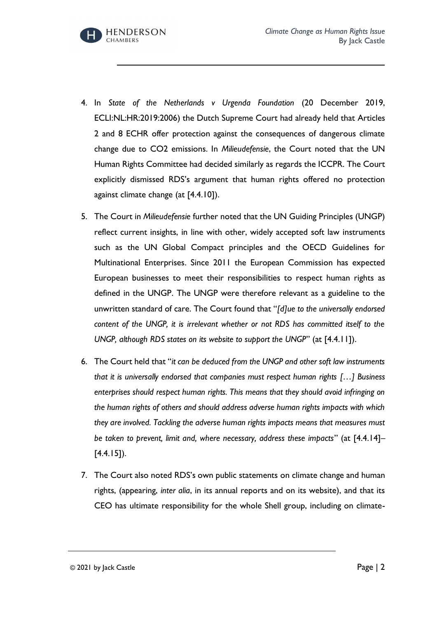

- 4. In *State of the Netherlands v Urgenda Foundation* (20 December 2019, ECLI:NL:HR:2019:2006) the Dutch Supreme Court had already held that Articles 2 and 8 ECHR offer protection against the consequences of dangerous climate change due to CO2 emissions. In *Milieudefensie*, the Court noted that the UN Human Rights Committee had decided similarly as regards the ICCPR. The Court explicitly dismissed RDS's argument that human rights offered no protection against climate change (at [4.4.10]).
- 5. The Court in *Milieudefensie* further noted that the UN Guiding Principles (UNGP) reflect current insights, in line with other, widely accepted soft law instruments such as the UN Global Compact principles and the OECD Guidelines for Multinational Enterprises. Since 2011 the European Commission has expected European businesses to meet their responsibilities to respect human rights as defined in the UNGP. The UNGP were therefore relevant as a guideline to the unwritten standard of care. The Court found that "*[d]ue to the universally endorsed content of the UNGP, it is irrelevant whether or not RDS has committed itself to the UNGP, although RDS states on its website to support the UNGP*" (at [4.4.11]).
- 6. The Court held that "*it can be deduced from the UNGP and other soft law instruments that it is universally endorsed that companies must respect human rights […] Business enterprises should respect human rights. This means that they should avoid infringing on the human rights of others and should address adverse human rights impacts with which they are involved. Tackling the adverse human rights impacts means that measures must be taken to prevent, limit and, where necessary, address these impacts*" (at [4.4.14]–  $[4.4.15]$ .
- 7. The Court also noted RDS's own public statements on climate change and human rights, (appearing, *inter alia*, in its annual reports and on its website), and that its CEO has ultimate responsibility for the whole Shell group, including on climate-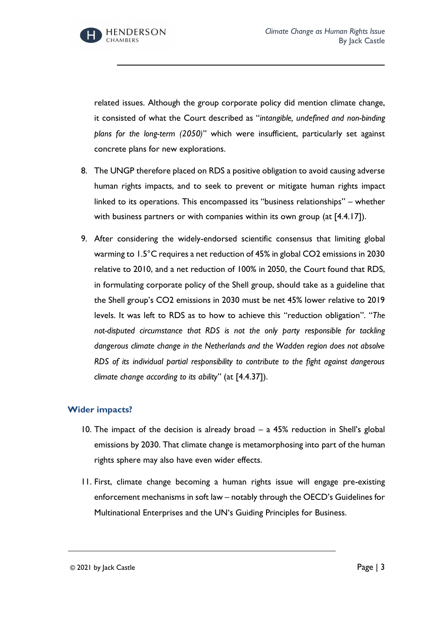

related issues. Although the group corporate policy did mention climate change, it consisted of what the Court described as "*intangible, undefined and non-binding plans for the long-term (2050)*" which were insufficient, particularly set against concrete plans for new explorations.

- 8. The UNGP therefore placed on RDS a positive obligation to avoid causing adverse human rights impacts, and to seek to prevent or mitigate human rights impact linked to its operations. This encompassed its "business relationships" – whether with business partners or with companies within its own group (at [4.4.17]).
- 9. After considering the widely-endorsed scientific consensus that limiting global warming to 1.5°C requires a net reduction of 45% in global CO2 emissions in 2030 relative to 2010, and a net reduction of 100% in 2050, the Court found that RDS, in formulating corporate policy of the Shell group, should take as a guideline that the Shell group's CO2 emissions in 2030 must be net 45% lower relative to 2019 levels. It was left to RDS as to how to achieve this "reduction obligation". "*The not-disputed circumstance that RDS is not the only party responsible for tackling dangerous climate change in the Netherlands and the Wadden region does not absolve RDS of its individual partial responsibility to contribute to the fight against dangerous climate change according to its ability*" (at [4.4.37]).

## **Wider impacts?**

- 10. The impact of the decision is already broad a 45% reduction in Shell's global emissions by 2030. That climate change is metamorphosing into part of the human rights sphere may also have even wider effects.
- 11. First, climate change becoming a human rights issue will engage pre-existing enforcement mechanisms in soft law – notably through the OECD's Guidelines for Multinational Enterprises and the UN's Guiding Principles for Business.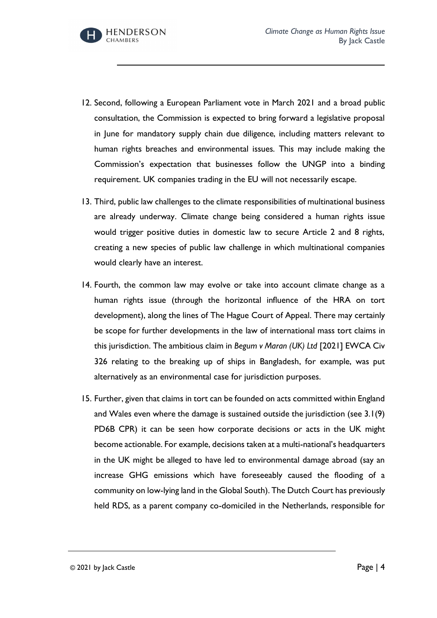

- 12. Second, following a European Parliament vote in March 2021 and a broad public consultation, the Commission is expected to bring forward a legislative proposal in June for mandatory supply chain due diligence, including matters relevant to human rights breaches and environmental issues. This may include making the Commission's expectation that businesses follow the UNGP into a binding requirement. UK companies trading in the EU will not necessarily escape.
- 13. Third, public law challenges to the climate responsibilities of multinational business are already underway. Climate change being considered a human rights issue would trigger positive duties in domestic law to secure Article 2 and 8 rights, creating a new species of public law challenge in which multinational companies would clearly have an interest.
- 14. Fourth, the common law may evolve or take into account climate change as a human rights issue (through the horizontal influence of the HRA on tort development), along the lines of The Hague Court of Appeal. There may certainly be scope for further developments in the law of international mass tort claims in this jurisdiction. The ambitious claim in *Begum v Maran (UK) Ltd* [2021] EWCA Civ 326 relating to the breaking up of ships in Bangladesh, for example, was put alternatively as an environmental case for jurisdiction purposes.
- 15. Further, given that claims in tort can be founded on acts committed within England and Wales even where the damage is sustained outside the jurisdiction (see 3.1(9) PD6B CPR) it can be seen how corporate decisions or acts in the UK might become actionable. For example, decisions taken at a multi-national's headquarters in the UK might be alleged to have led to environmental damage abroad (say an increase GHG emissions which have foreseeably caused the flooding of a community on low-lying land in the Global South). The Dutch Court has previously held RDS, as a parent company co-domiciled in the Netherlands, responsible for